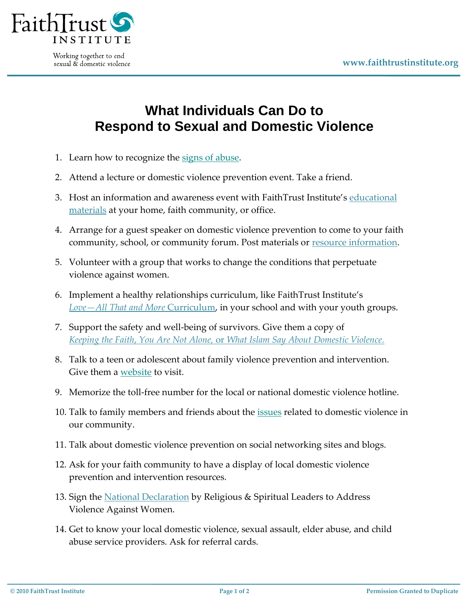

Working together to end sexual & domestic violence

## **What Individuals Can Do to Respond to Sexual and Domestic Violence**

- 1. Learn how to recognize the [signs of abuse.](http://www.faithtrustinstitute.org/resources/learn-the-basics)
- 2. Attend a lecture or domestic violence prevention event. Take a friend.
- 3. Host an information and awareness event with FaithTrust Institute's [educational](http://www.faithtrustinstitute.org/store)  [materials](http://www.faithtrustinstitute.org/store) at your home, faith community, or office.
- 4. Arrange for a guest speaker on domestic violence prevention to come to your faith community, school, or community forum. Post materials or **resource** information.
- 5. Volunteer with a group that works to change the conditions that perpetuate violence against women.
- 6. Implement a healthy relationships curriculum, like FaithTrust Institute's *Love—[All That and More](http://faithtrustinstitute.org/store/healthy-teen-relationships)* Curriculum, in your school and with your youth groups.
- 7. Support the safety and well-being of survivors. Give them a copy of *Keeping the Faith*, *You Are Not Alone,* or *[What Islam Say About Domestic Violence.](http://www.faithtrustinstitute.org/store/domestic-violence/books)*
- 8. Talk to a teen or adolescent about family violence prevention and intervention. Give them a [website](http://www.faithtrustinstitute.org/resources/links/domestic-violence) to visit.
- 9. Memorize the toll-free number for the local or national domestic violence hotline.
- 10. Talk to family members and friends about the *issues* related to domestic violence in our community.
- 11. Talk about domestic violence prevention on social networking sites and blogs.
- 12. Ask for your faith community to have a display of local domestic violence prevention and intervention resources.
- 13. Sign the [National Declaration](http://www.faithtrustinstitute.org/take-action/declaration) by Religious & Spiritual Leaders to Address Violence Against Women.
- 14. Get to know your local domestic violence, sexual assault, elder abuse, and child abuse service providers. Ask for referral cards.